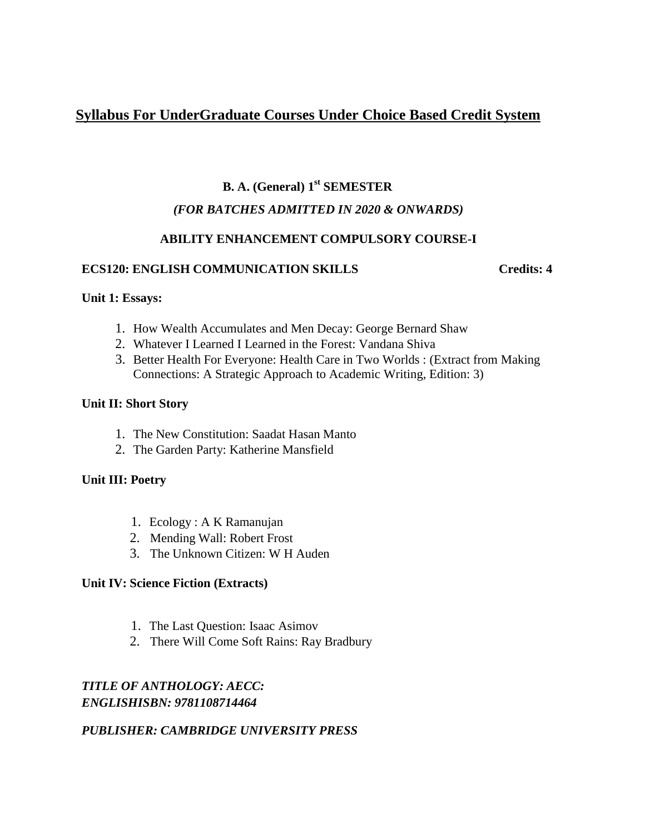# **Syllabus For UnderGraduate Courses Under Choice Based Credit System**

# **B. A. (General) 1st SEMESTER** *(FOR BATCHES ADMITTED IN 2020 & ONWARDS)*

# **ABILITY ENHANCEMENT COMPULSORY COURSE-I**

# **ECS120: ENGLISH COMMUNICATION SKILLS Credits: 4**

# **Unit 1: Essays:**

- 1. How Wealth Accumulates and Men Decay: George Bernard Shaw
- 2. Whatever I Learned I Learned in the Forest: Vandana Shiva
- 3. Better Health For Everyone: Health Care in Two Worlds : (Extract from Making Connections: A Strategic Approach to Academic Writing, Edition: 3)

# **Unit II: Short Story**

- 1. The New Constitution: Saadat Hasan Manto
- 2. The Garden Party: Katherine Mansfield

# **Unit III: Poetry**

- 1. Ecology : A K Ramanujan
- 2. Mending Wall: Robert Frost
- 3. The Unknown Citizen: W H Auden

# **Unit IV: Science Fiction (Extracts)**

- 1. The Last Question: Isaac Asimov
- 2. There Will Come Soft Rains: Ray Bradbury

# *TITLE OF ANTHOLOGY: AECC: ENGLISHISBN: 9781108714464*

# *PUBLISHER: CAMBRIDGE UNIVERSITY PRESS*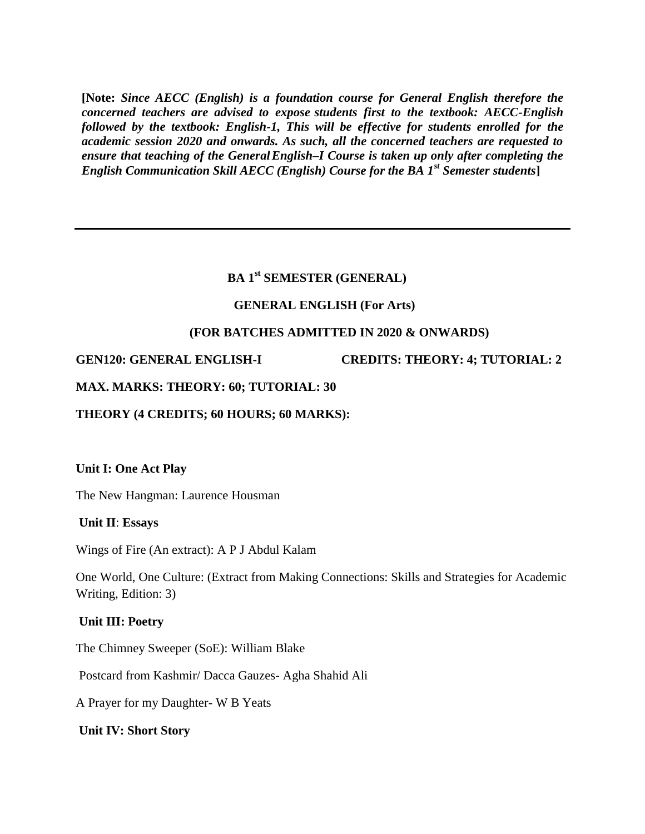**[Note:** *Since AECC (English) is a foundation course for General English therefore the concerned teachers are advised to expose students first to the textbook: AECC-English followed by the textbook: English-1, This will be effective for students enrolled for the academic session 2020 and onwards. As such, all the concerned teachers are requested to ensure that teaching of the GeneralEnglish–I Course is taken up only after completing the English Communication Skill AECC (English) Course for the BA 1st Semester students***]**

# **BA 1st SEMESTER (GENERAL)**

#### **GENERAL ENGLISH (For Arts)**

#### **(FOR BATCHES ADMITTED IN 2020 & ONWARDS)**

**GEN120: GENERAL ENGLISH-I CREDITS: THEORY: 4; TUTORIAL: 2** 

#### **MAX. MARKS: THEORY: 60; TUTORIAL: 30**

**THEORY (4 CREDITS; 60 HOURS; 60 MARKS):** 

#### **Unit I: One Act Play**

The New Hangman: Laurence Housman

#### **Unit II**: **Essays**

Wings of Fire (An extract): A P J Abdul Kalam

One World, One Culture: (Extract from Making Connections: Skills and Strategies for Academic Writing, Edition: 3)

### **Unit III: Poetry**

The Chimney Sweeper (SoE): William Blake

Postcard from Kashmir/ Dacca Gauzes- Agha Shahid Ali

A Prayer for my Daughter- W B Yeats

#### **Unit IV: Short Story**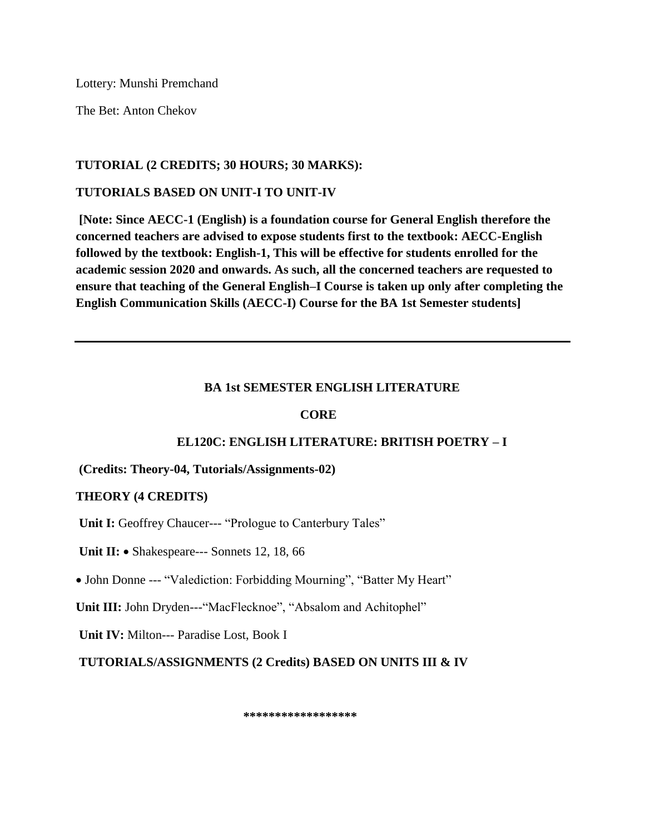Lottery: Munshi Premchand

The Bet: Anton Chekov

# **TUTORIAL (2 CREDITS; 30 HOURS; 30 MARKS):**

# **TUTORIALS BASED ON UNIT-I TO UNIT-IV**

**[Note: Since AECC-1 (English) is a foundation course for General English therefore the concerned teachers are advised to expose students first to the textbook: AECC-English followed by the textbook: English-1, This will be effective for students enrolled for the academic session 2020 and onwards. As such, all the concerned teachers are requested to ensure that teaching of the General English–I Course is taken up only after completing the English Communication Skills (AECC-I) Course for the BA 1st Semester students]**

# **BA 1st SEMESTER ENGLISH LITERATURE**

# **CORE**

# **EL120C: ENGLISH LITERATURE: BRITISH POETRY – I**

# **(Credits: Theory-04, Tutorials/Assignments-02)**

# **THEORY (4 CREDITS)**

Unit I: Geoffrey Chaucer--- "Prologue to Canterbury Tales"

Unit II: • Shakespeare--- Sonnets 12, 18, 66

John Donne --- "Valediction: Forbidding Mourning", "Batter My Heart"

**Unit III:** John Dryden---"MacFlecknoe", "Absalom and Achitophel"

**Unit IV:** Milton--- Paradise Lost, Book I

**TUTORIALS/ASSIGNMENTS (2 Credits) BASED ON UNITS III & IV** 

 **\*\*\*\*\*\*\*\*\*\*\*\*\*\*\*\*\*\***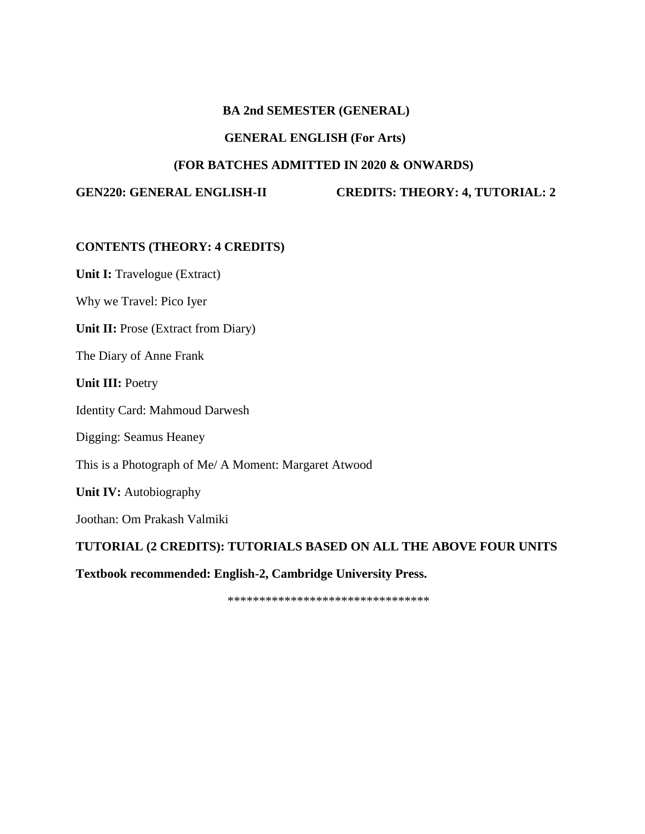#### **BA 2nd SEMESTER (GENERAL)**

#### **GENERAL ENGLISH (For Arts)**

### **(FOR BATCHES ADMITTED IN 2020 & ONWARDS)**

**GEN220: GENERAL ENGLISH-II CREDITS: THEORY: 4, TUTORIAL: 2** 

### **CONTENTS (THEORY: 4 CREDITS)**

**Unit I:** Travelogue (Extract)

Why we Travel: Pico Iyer

**Unit II:** Prose (Extract from Diary)

The Diary of Anne Frank

**Unit III:** Poetry

Identity Card: Mahmoud Darwesh

Digging: Seamus Heaney

This is a Photograph of Me/ A Moment: Margaret Atwood

**Unit IV:** Autobiography

Joothan: Om Prakash Valmiki

**TUTORIAL (2 CREDITS): TUTORIALS BASED ON ALL THE ABOVE FOUR UNITS** 

**Textbook recommended: English-2, Cambridge University Press.**

\*\*\*\*\*\*\*\*\*\*\*\*\*\*\*\*\*\*\*\*\*\*\*\*\*\*\*\*\*\*\*\*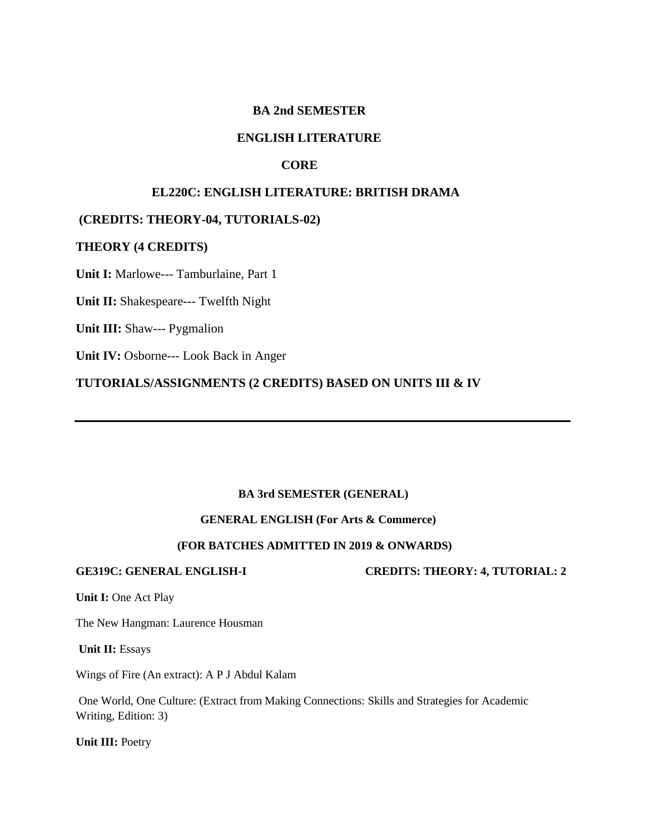### **BA 2nd SEMESTER**

#### **ENGLISH LITERATURE**

#### **CORE**

### **EL220C: ENGLISH LITERATURE: BRITISH DRAMA**

#### **(CREDITS: THEORY-04, TUTORIALS-02)**

#### **THEORY (4 CREDITS)**

**Unit I:** Marlowe--- Tamburlaine, Part 1

**Unit II:** Shakespeare--- Twelfth Night

**Unit III:** Shaw--- Pygmalion

**Unit IV:** Osborne--- Look Back in Anger

**TUTORIALS/ASSIGNMENTS (2 CREDITS) BASED ON UNITS III & IV**

#### **BA 3rd SEMESTER (GENERAL)**

#### **GENERAL ENGLISH (For Arts & Commerce)**

#### **(FOR BATCHES ADMITTED IN 2019 & ONWARDS)**

**GE319C: GENERAL ENGLISH-I CREDITS: THEORY: 4, TUTORIAL: 2** 

**Unit I:** One Act Play

The New Hangman: Laurence Housman

**Unit II:** Essays

Wings of Fire (An extract): A P J Abdul Kalam

One World, One Culture: (Extract from Making Connections: Skills and Strategies for Academic Writing, Edition: 3)

**Unit III:** Poetry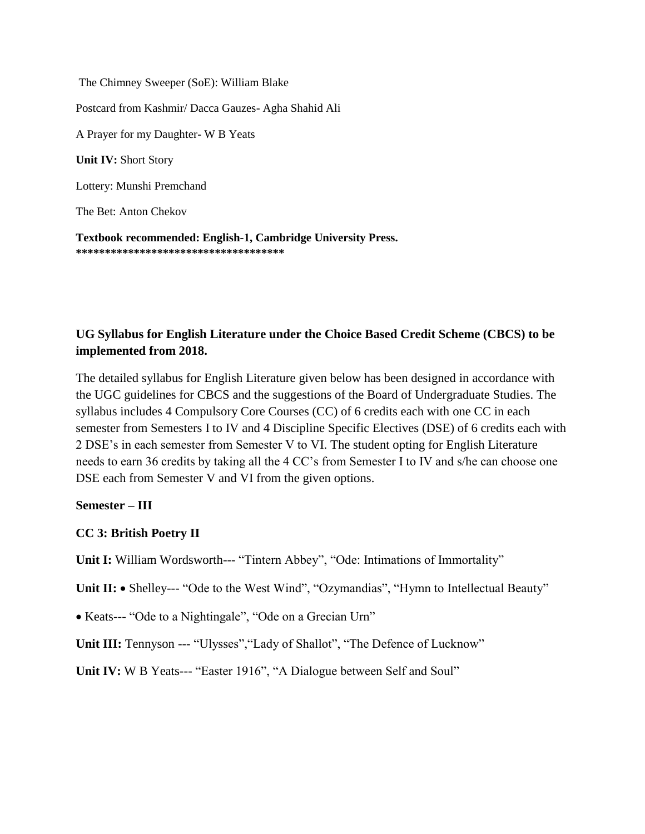The Chimney Sweeper (SoE): William Blake Postcard from Kashmir/ Dacca Gauzes- Agha Shahid Ali A Prayer for my Daughter- W B Yeats **Unit IV:** Short Story Lottery: Munshi Premchand The Bet: Anton Chekov

**Textbook recommended: English-1, Cambridge University Press. \*\*\*\*\*\*\*\*\*\*\*\*\*\*\*\*\*\*\*\*\*\*\*\*\*\*\*\*\*\*\*\*\*\*\*\***

# **UG Syllabus for English Literature under the Choice Based Credit Scheme (CBCS) to be implemented from 2018.**

The detailed syllabus for English Literature given below has been designed in accordance with the UGC guidelines for CBCS and the suggestions of the Board of Undergraduate Studies. The syllabus includes 4 Compulsory Core Courses (CC) of 6 credits each with one CC in each semester from Semesters I to IV and 4 Discipline Specific Electives (DSE) of 6 credits each with 2 DSE's in each semester from Semester V to VI. The student opting for English Literature needs to earn 36 credits by taking all the 4 CC's from Semester I to IV and s/he can choose one DSE each from Semester V and VI from the given options.

# **Semester – III**

# **CC 3: British Poetry II**

**Unit I:** William Wordsworth--- "Tintern Abbey", "Ode: Intimations of Immortality"

Unit II: • Shelley--- "Ode to the West Wind", "Ozymandias", "Hymn to Intellectual Beauty"

Keats--- "Ode to a Nightingale", "Ode on a Grecian Urn"

**Unit III:** Tennyson --- "Ulysses","Lady of Shallot", "The Defence of Lucknow"

**Unit IV:** W B Yeats--- "Easter 1916", "A Dialogue between Self and Soul"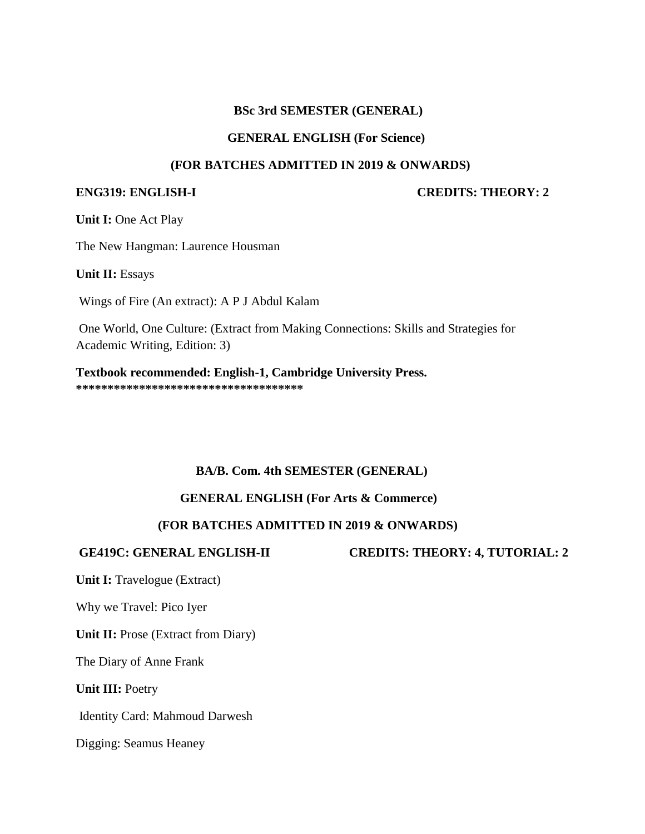#### **BSc 3rd SEMESTER (GENERAL)**

#### **GENERAL ENGLISH (For Science)**

#### **(FOR BATCHES ADMITTED IN 2019 & ONWARDS)**

**ENG319: ENGLISH-I CREDITS: THEORY: 2** 

**Unit I:** One Act Play

The New Hangman: Laurence Housman

**Unit II:** Essays

Wings of Fire (An extract): A P J Abdul Kalam

One World, One Culture: (Extract from Making Connections: Skills and Strategies for Academic Writing, Edition: 3)

**Textbook recommended: English-1, Cambridge University Press. \*\*\*\*\*\*\*\*\*\*\*\*\*\*\*\*\*\*\*\*\*\*\*\*\*\*\*\*\*\*\*\*\*\*\*\***

# **BA/B. Com. 4th SEMESTER (GENERAL)**

# **GENERAL ENGLISH (For Arts & Commerce)**

# **(FOR BATCHES ADMITTED IN 2019 & ONWARDS)**

**GE419C: GENERAL ENGLISH-II CREDITS: THEORY: 4, TUTORIAL: 2** 

**Unit I:** Travelogue (Extract)

Why we Travel: Pico Iyer

**Unit II:** Prose (Extract from Diary)

The Diary of Anne Frank

**Unit III:** Poetry

Identity Card: Mahmoud Darwesh

Digging: Seamus Heaney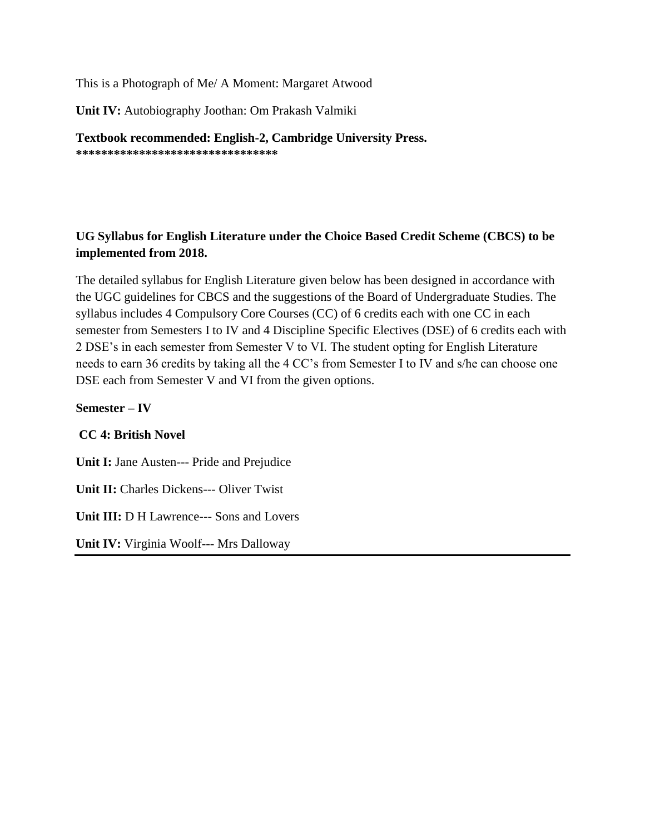This is a Photograph of Me/ A Moment: Margaret Atwood

**Unit IV:** Autobiography Joothan: Om Prakash Valmiki

**Textbook recommended: English-2, Cambridge University Press. \*\*\*\*\*\*\*\*\*\*\*\*\*\*\*\*\*\*\*\*\*\*\*\*\*\*\*\*\*\*\*\***

# **UG Syllabus for English Literature under the Choice Based Credit Scheme (CBCS) to be implemented from 2018.**

The detailed syllabus for English Literature given below has been designed in accordance with the UGC guidelines for CBCS and the suggestions of the Board of Undergraduate Studies. The syllabus includes 4 Compulsory Core Courses (CC) of 6 credits each with one CC in each semester from Semesters I to IV and 4 Discipline Specific Electives (DSE) of 6 credits each with 2 DSE's in each semester from Semester V to VI. The student opting for English Literature needs to earn 36 credits by taking all the 4 CC's from Semester I to IV and s/he can choose one DSE each from Semester V and VI from the given options.

**Semester – IV**

# **CC 4: British Novel**

**Unit I:** Jane Austen--- Pride and Prejudice **Unit II:** Charles Dickens--- Oliver Twist **Unit III:** D H Lawrence--- Sons and Lovers **Unit IV:** Virginia Woolf--- Mrs Dalloway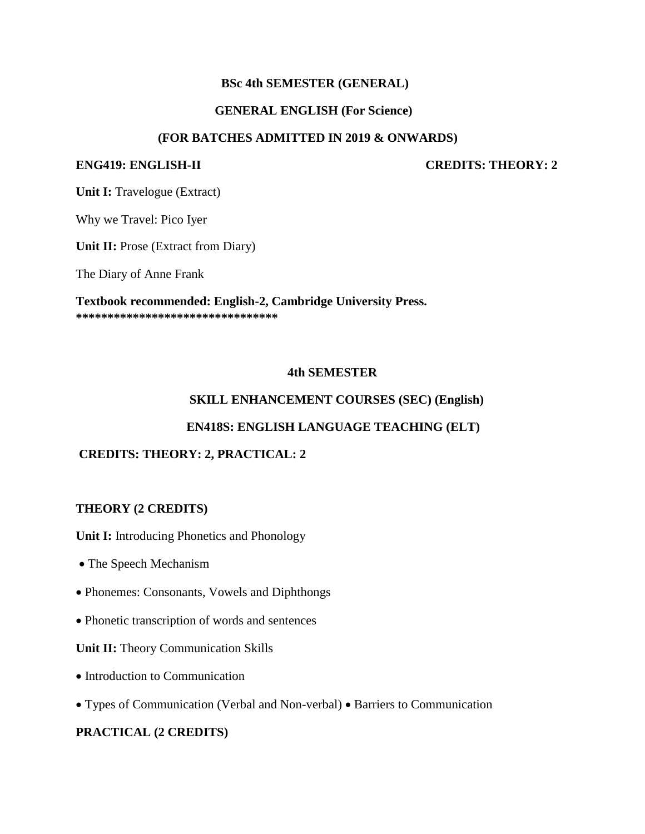# **BSc 4th SEMESTER (GENERAL)**

### **GENERAL ENGLISH (For Science)**

#### **(FOR BATCHES ADMITTED IN 2019 & ONWARDS)**

**ENG419: ENGLISH-II CREDITS: THEORY: 2** 

**Unit I:** Travelogue (Extract)

Why we Travel: Pico Iyer

**Unit II:** Prose (Extract from Diary)

The Diary of Anne Frank

**Textbook recommended: English-2, Cambridge University Press. \*\*\*\*\*\*\*\*\*\*\*\*\*\*\*\*\*\*\*\*\*\*\*\*\*\*\*\*\*\*\*\***

#### **4th SEMESTER**

### **SKILL ENHANCEMENT COURSES (SEC) (English)**

#### **EN418S: ENGLISH LANGUAGE TEACHING (ELT)**

# **CREDITS: THEORY: 2, PRACTICAL: 2**

#### **THEORY (2 CREDITS)**

**Unit I:** Introducing Phonetics and Phonology

- The Speech Mechanism
- Phonemes: Consonants, Vowels and Diphthongs
- Phonetic transcription of words and sentences

#### **Unit II:** Theory Communication Skills

- Introduction to Communication
- Types of Communication (Verbal and Non-verbal) Barriers to Communication

# **PRACTICAL (2 CREDITS)**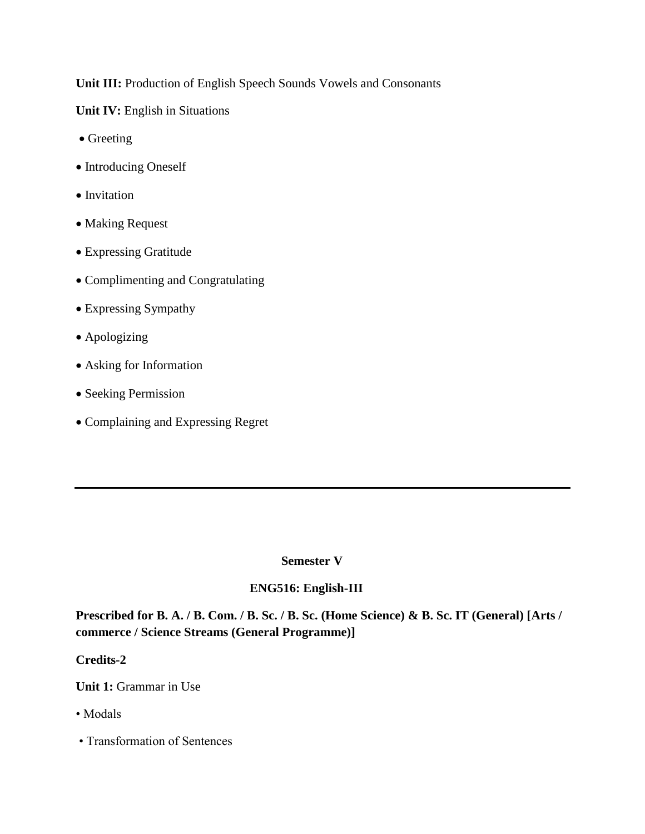**Unit III:** Production of English Speech Sounds Vowels and Consonants

**Unit IV:** English in Situations

- Greeting
- Introducing Oneself
- Invitation
- Making Request
- Expressing Gratitude
- Complimenting and Congratulating
- Expressing Sympathy
- Apologizing
- Asking for Information
- Seeking Permission
- Complaining and Expressing Regret

# **Semester V**

# **ENG516: English-III**

**Prescribed for B. A. / B. Com. / B. Sc. / B. Sc. (Home Science) & B. Sc. IT (General) [Arts / commerce / Science Streams (General Programme)]** 

# **Credits-2**

**Unit 1:** Grammar in Use

- Modals
- Transformation of Sentences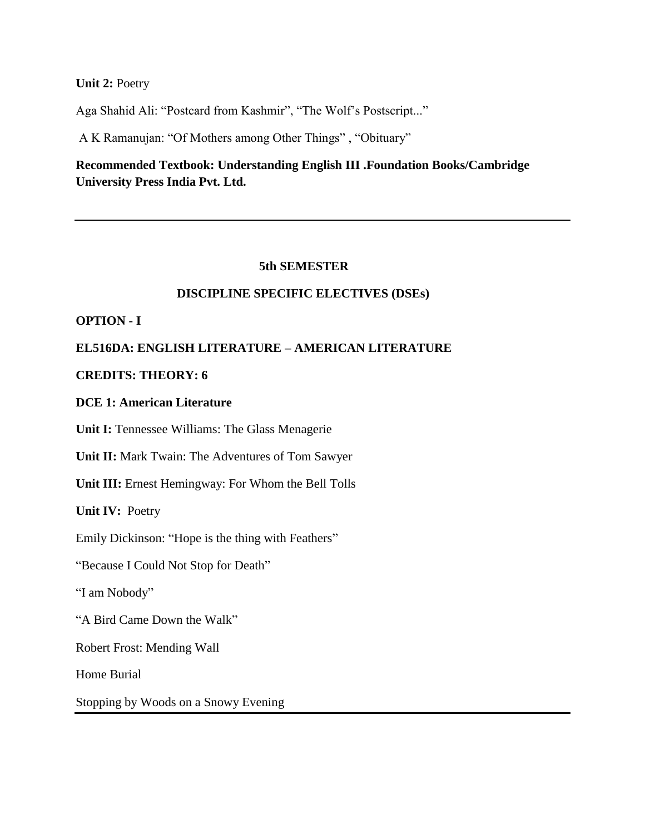**Unit 2:** Poetry

Aga Shahid Ali: "Postcard from Kashmir", "The Wolf's Postscript..."

A K Ramanujan: "Of Mothers among Other Things" , "Obituary"

# **Recommended Textbook: Understanding English III .Foundation Books/Cambridge University Press India Pvt. Ltd.**

#### **5th SEMESTER**

#### **DISCIPLINE SPECIFIC ELECTIVES (DSEs)**

**OPTION - I** 

# **EL516DA: ENGLISH LITERATURE – AMERICAN LITERATURE**

### **CREDITS: THEORY: 6**

**DCE 1: American Literature**

**Unit I:** Tennessee Williams: The Glass Menagerie

**Unit II:** Mark Twain: The Adventures of Tom Sawyer

**Unit III:** Ernest Hemingway: For Whom the Bell Tolls

**Unit IV:** Poetry

Emily Dickinson: "Hope is the thing with Feathers"

"Because I Could Not Stop for Death"

"I am Nobody"

"A Bird Came Down the Walk"

Robert Frost: Mending Wall

Home Burial

Stopping by Woods on a Snowy Evening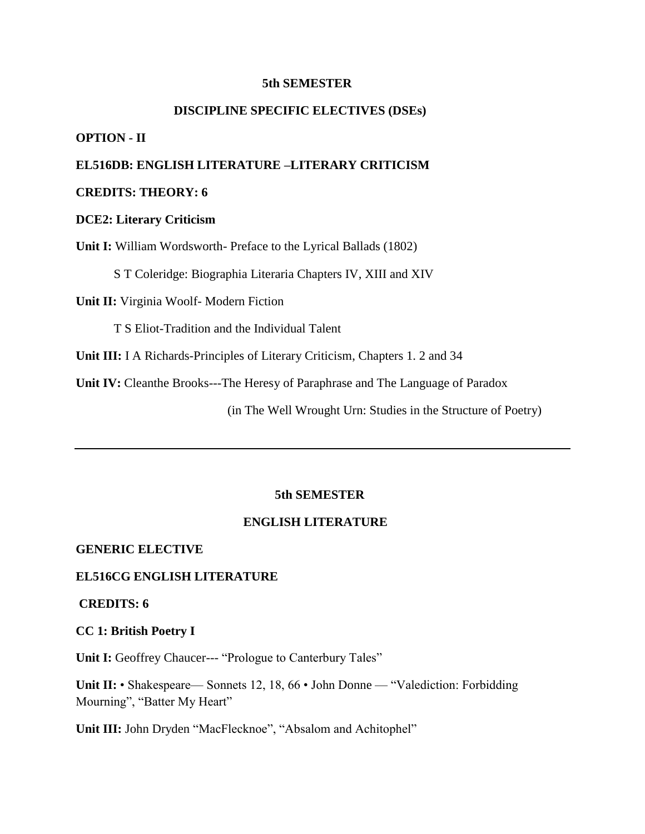#### **5th SEMESTER**

# **DISCIPLINE SPECIFIC ELECTIVES (DSEs)**

#### **OPTION - II**

#### **EL516DB: ENGLISH LITERATURE –LITERARY CRITICISM**

# **CREDITS: THEORY: 6**

#### **DCE2: Literary Criticism**

**Unit I:** William Wordsworth- Preface to the Lyrical Ballads (1802)

S T Coleridge: Biographia Literaria Chapters IV, XIII and XIV

**Unit II:** Virginia Woolf- Modern Fiction

T S Eliot-Tradition and the Individual Talent

**Unit III:** I A Richards-Principles of Literary Criticism, Chapters 1. 2 and 34

**Unit IV:** Cleanthe Brooks---The Heresy of Paraphrase and The Language of Paradox

(in The Well Wrought Urn: Studies in the Structure of Poetry)

#### **5th SEMESTER**

#### **ENGLISH LITERATURE**

#### **GENERIC ELECTIVE**

#### **EL516CG ENGLISH LITERATURE**

#### **CREDITS: 6**

**CC 1: British Poetry I** 

Unit I: Geoffrey Chaucer--- "Prologue to Canterbury Tales"

**Unit II:** • Shakespeare— Sonnets 12, 18, 66 • John Donne — "Valediction: Forbidding Mourning", "Batter My Heart"

**Unit III:** John Dryden "MacFlecknoe", "Absalom and Achitophel"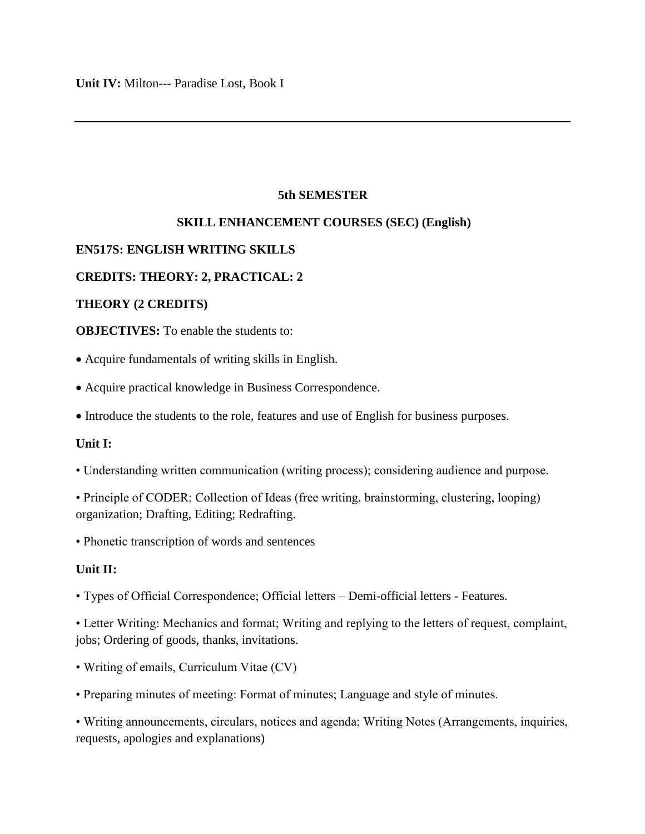# **5th SEMESTER**

# **SKILL ENHANCEMENT COURSES (SEC) (English)**

# **EN517S: ENGLISH WRITING SKILLS**

# **CREDITS: THEORY: 2, PRACTICAL: 2**

# **THEORY (2 CREDITS)**

**OBJECTIVES:** To enable the students to:

Acquire fundamentals of writing skills in English.

- Acquire practical knowledge in Business Correspondence.
- Introduce the students to the role, features and use of English for business purposes.

# **Unit I:**

- Understanding written communication (writing process); considering audience and purpose.
- Principle of CODER; Collection of Ideas (free writing, brainstorming, clustering, looping) organization; Drafting, Editing; Redrafting.
- Phonetic transcription of words and sentences

# **Unit II:**

- Types of Official Correspondence; Official letters Demi-official letters Features.
- Letter Writing: Mechanics and format; Writing and replying to the letters of request, complaint, jobs; Ordering of goods, thanks, invitations.
- Writing of emails, Curriculum Vitae (CV)
- Preparing minutes of meeting: Format of minutes; Language and style of minutes.

• Writing announcements, circulars, notices and agenda; Writing Notes (Arrangements, inquiries, requests, apologies and explanations)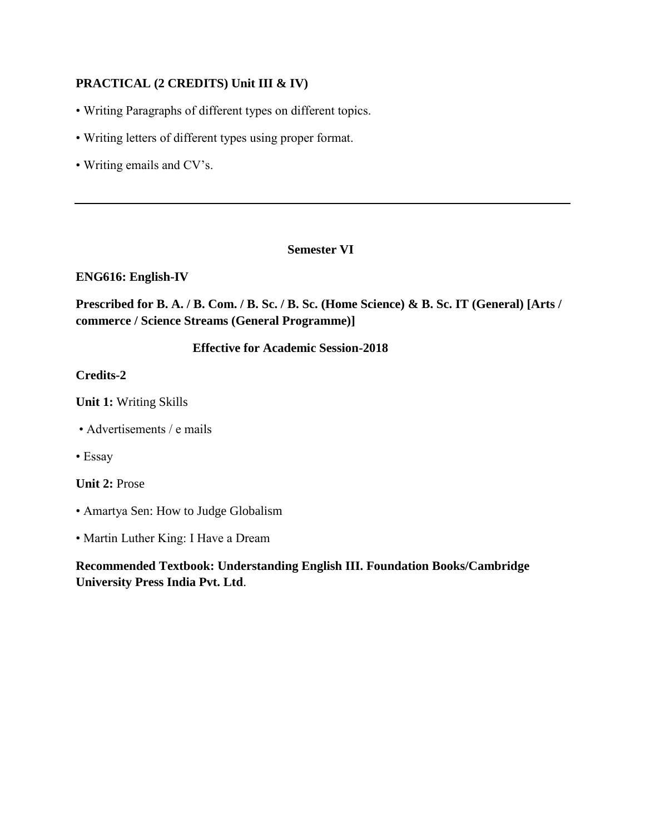# **PRACTICAL (2 CREDITS) Unit III & IV)**

- Writing Paragraphs of different types on different topics.
- Writing letters of different types using proper format.
- Writing emails and CV's.

# **Semester VI**

# **ENG616: English-IV**

**Prescribed for B. A. / B. Com. / B. Sc. / B. Sc. (Home Science) & B. Sc. IT (General) [Arts / commerce / Science Streams (General Programme)]** 

# **Effective for Academic Session-2018**

# **Credits-2**

- **Unit 1:** Writing Skills
- Advertisements / e mails
- Essay

**Unit 2:** Prose

- Amartya Sen: How to Judge Globalism
- Martin Luther King: I Have a Dream

**Recommended Textbook: Understanding English III. Foundation Books/Cambridge University Press India Pvt. Ltd**.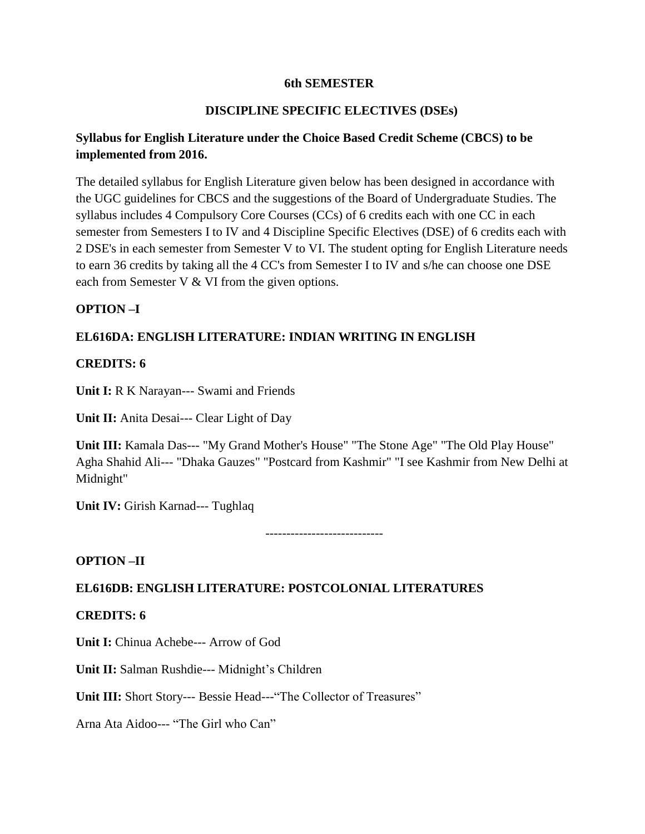# **6th SEMESTER**

# **DISCIPLINE SPECIFIC ELECTIVES (DSEs)**

# **Syllabus for English Literature under the Choice Based Credit Scheme (CBCS) to be implemented from 2016.**

The detailed syllabus for English Literature given below has been designed in accordance with the UGC guidelines for CBCS and the suggestions of the Board of Undergraduate Studies. The syllabus includes 4 Compulsory Core Courses (CCs) of 6 credits each with one CC in each semester from Semesters I to IV and 4 Discipline Specific Electives (DSE) of 6 credits each with 2 DSE's in each semester from Semester V to VI. The student opting for English Literature needs to earn 36 credits by taking all the 4 CC's from Semester I to IV and s/he can choose one DSE each from Semester V & VI from the given options.

# **OPTION –I**

# **EL616DA: ENGLISH LITERATURE: INDIAN WRITING IN ENGLISH**

# **CREDITS: 6**

**Unit I:** R K Narayan--- Swami and Friends

**Unit II:** Anita Desai--- Clear Light of Day

**Unit III:** Kamala Das--- "My Grand Mother's House" "The Stone Age" "The Old Play House" Agha Shahid Ali--- "Dhaka Gauzes" "Postcard from Kashmir" "I see Kashmir from New Delhi at Midnight"

**Unit IV:** Girish Karnad--- Tughlaq

----------------------------

# **OPTION –II**

# **EL616DB: ENGLISH LITERATURE: POSTCOLONIAL LITERATURES**

# **CREDITS: 6**

**Unit I:** Chinua Achebe--- Arrow of God

**Unit II:** Salman Rushdie--- Midnight's Children

**Unit III:** Short Story--- Bessie Head---"The Collector of Treasures"

Arna Ata Aidoo--- "The Girl who Can"